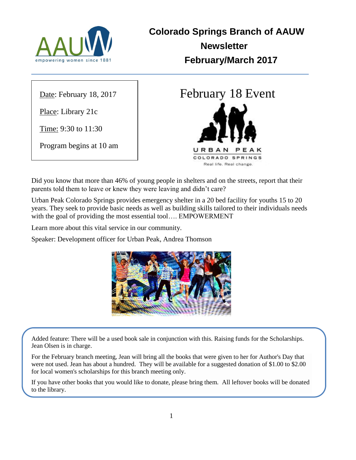

**Colorado Springs Branch of AAUW Newsletter February/March 2017**

Date: February 18, 2017

Place: Library 21c

Time: 9:30 to 11:30

Program begins at 10 am

# February 18 Event URBAN COLORADO SPRINGS Real life. Real change.

Did you know that more than 46% of young people in shelters and on the streets, report that their parents told them to leave or knew they were leaving and didn't care?

Urban Peak Colorado Springs provides emergency shelter in a 20 bed facility for youths 15 to 20 years. They seek to provide basic needs as well as building skills tailored to their individuals needs with the goal of providing the most essential tool…. EMPOWERMENT

Learn more about this vital service in our community.

Speaker: Development officer for Urban Peak, Andrea Thomson



Added feature: There will be a used book sale in conjunction with this. Raising funds for the Scholarships. Jean Olsen is in charge.

For the February branch meeting, Jean will bring all the books that were given to her for Author's Day that were not used. Jean has about a hundred. They will be available for a suggested donation of \$1.00 to \$2.00 for local women's scholarships for this branch meeting only.

If you have other books that you would like to donate, please bring them. All leftover books will be donated to the library.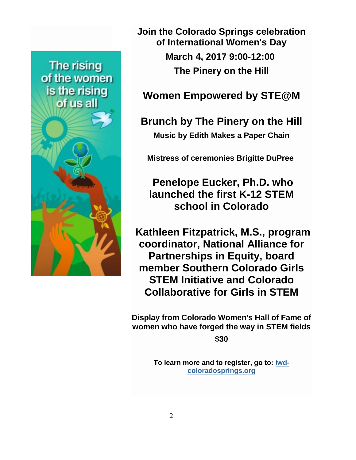

**Join the Colorado Springs celebration of International Women's Day March 4, 2017 9:00-12:00 The Pinery on the Hill**

# **Women Empowered by STE@M**

**Brunch by The Pinery on the Hill Music by Edith Makes a Paper Chain**

**Mistress of ceremonies Brigitte DuPree**

**Penelope Eucker, Ph.D. who launched the first K-12 STEM school in Colorado**

**Kathleen Fitzpatrick, M.S., program coordinator, National Alliance for Partnerships in Equity, board member Southern Colorado Girls STEM Initiative and Colorado Collaborative for Girls in STEM**

**Display from Colorado Women's Hall of Fame of women who have forged the way in STEM fields**

**\$30**

**To learn more and to register, go to: [iwd](http://iwd-coloradosprings.org/)[coloradosprings.org](http://iwd-coloradosprings.org/)**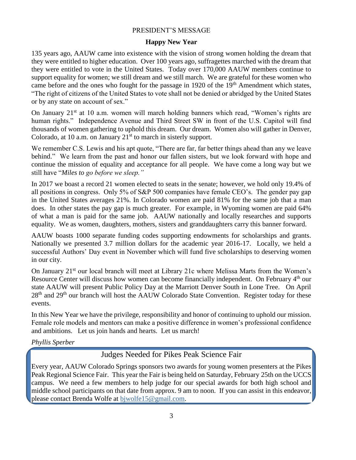#### PRESIDENT'S MESSAGE

#### **Happy New Year**

135 years ago, AAUW came into existence with the vision of strong women holding the dream that they were entitled to higher education. Over 100 years ago, suffragettes marched with the dream that they were entitled to vote in the United States. Today over 170,000 AAUW members continue to support equality for women; we still dream and we still march. We are grateful for these women who came before and the ones who fought for the passage in 1920 of the  $19<sup>th</sup>$  Amendment which states, "The right of citizens of the United States to vote shall not be denied or abridged by the United States or by any state on account of sex."

On January 21<sup>st</sup> at 10 a.m. women will march holding banners which read, "Women's rights are human rights." Independence Avenue and Third Street SW in front of the U.S. Capitol will find thousands of women gathering to uphold this dream. Our dream. Women also will gather in Denver, Colorado, at 10 a.m. on January  $21<sup>st</sup>$  to march in sisterly support.

We remember C.S. Lewis and his apt quote, "There are far, far better things ahead than any we leave behind." We learn from the past and honor our fallen sisters, but we look forward with hope and continue the mission of equality and acceptance for all people. We have come a long way but we still have "*Miles to go before we sleep."*

In 2017 we boast a record 21 women elected to seats in the senate; however, we hold only 19.4% of all positions in congress. Only 5% of S&P 500 companies have female CEO's. The gender pay gap in the United States averages 21%. In Colorado women are paid 81% for the same job that a man does. In other states the pay gap is much greater. For example, in Wyoming women are paid 64% of what a man is paid for the same job. AAUW nationally and locally researches and supports equality. We as women, daughters, mothers, sisters and granddaughters carry this banner forward.

AAUW boasts 1000 separate funding codes supporting endowments for scholarships and grants. Nationally we presented 3.7 million dollars for the academic year 2016-17. Locally, we held a successful Authors' Day event in November which will fund five scholarships to deserving women in our city.

On January 21<sup>st</sup> our local branch will meet at Library 21c where Melissa Marts from the Women's Resource Center will discuss how women can become financially independent. On February 4<sup>th</sup> our state AAUW will present Public Policy Day at the Marriott Denver South in Lone Tree. On April 28<sup>th</sup> and 29<sup>th</sup> our branch will host the AAUW Colorado State Convention. Register today for these events.

In this New Year we have the privilege, responsibility and honor of continuing to uphold our mission. Female role models and mentors can make a positive difference in women's professional confidence and ambitions. Let us join hands and hearts. Let us march!

*Phyllis Sperber*

## Judges Needed for Pikes Peak Science Fair

Every year, AAUW Colorado Springs sponsors two awards for young women presenters at the Pikes Peak Regional Science Fair. This year the Fair is being held on Saturday, February 25th on the UCCS campus. We need a few members to help judge for our special awards for both high school and middle school participants on that date from approx. 9 am to noon. If you can assist in this endeavor, please contact Brenda Wolfe at [bjwolfe15@gmail.com.](javascript:window.top.ZmObjectManager.__doClickObject(document.getElementById(%22OBJ_PREFIX_DWT758_com_zimbra_email%22));)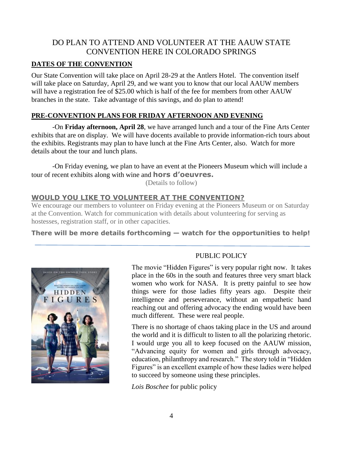# DO PLAN TO ATTEND AND VOLUNTEER AT THE AAUW STATE CONVENTION HERE IN COLORADO SPRINGS

#### **DATES OF THE CONVENTION**

Our State Convention will take place on April 28-29 at the Antlers Hotel. The convention itself will take place on Saturday, April 29, and we want you to know that our local AAUW members will have a registration fee of \$25.00 which is half of the fee for members from other AAUW branches in the state. Take advantage of this savings, and do plan to attend!

#### **PRE-CONVENTION PLANS FOR FRIDAY AFTERNOON AND EVENING**

-On **Friday afternoon, April 28**, we have arranged lunch and a tour of the Fine Arts Center exhibits that are on display. We will have docents available to provide information-rich tours about the exhibits. Registrants may plan to have lunch at the Fine Arts Center, also. Watch for more details about the tour and lunch plans.

-On Friday evening, we plan to have an event at the Pioneers Museum which will include a tour of recent exhibits along with wine and **hors d'oeuvres.** 

(Details to follow)

#### **WOULD YOU LIKE TO VOLUNTEER AT THE CONVENTION?**

We encourage our members to volunteer on Friday evening at the Pioneers Museum or on Saturday at the Convention. Watch for communication with details about volunteering for serving as hostesses, registration staff, or in other capacities.

**There will be more details forthcoming — watch for the opportunities to help!**



### PUBLIC POLICY

The movie "Hidden Figures" is very popular right now. It takes place in the 60s in the south and features three very smart black women who work for NASA. It is pretty painful to see how things were for those ladies fifty years ago. Despite their intelligence and perseverance, without an empathetic hand reaching out and offering advocacy the ending would have been much different. These were real people.

There is no shortage of chaos taking place in the US and around the world and it is difficult to listen to all the polarizing rhetoric. I would urge you all to keep focused on the AAUW mission, "Advancing equity for women and girls through advocacy, education, philanthropy and research." The story told in "Hidden Figures" is an excellent example of how these ladies were helped to succeed by someone using these principles.

*Lois Boschee* for public policy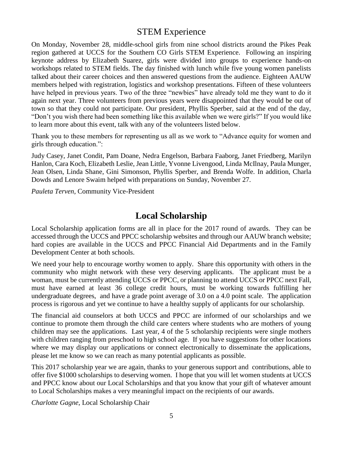# STEM Experience

On Monday, November 28, middle-school girls from nine school districts around the Pikes Peak region gathered at UCCS for the Southern CO Girls STEM Experience. Following an inspiring keynote address by Elizabeth Suarez, girls were divided into groups to experience hands-on workshops related to STEM fields. The day finished with lunch while five young women panelists talked about their career choices and then answered questions from the audience. Eighteen AAUW members helped with registration, logistics and workshop presentations. Fifteen of these volunteers have helped in previous years. Two of the three "newbies" have already told me they want to do it again next year. Three volunteers from previous years were disappointed that they would be out of town so that they could not participate. Our president, Phyllis Sperber, said at the end of the day, "Don't you wish there had been something like this available when we were girls?" If you would like to learn more about this event, talk with any of the volunteers listed below.

Thank you to these members for representing us all as we work to "Advance equity for women and girls through education.":

Judy Casey, Janet Condit, Pam Doane, Nedra Engelson, Barbara Faaborg, Janet Friedberg, Marilyn Hanlon, Cara Koch, Elizabeth Leslie, Jean Little, Yvonne Livengood, Linda McIlnay, Paula Munger, Jean Olsen, Linda Shane, Gini Simonson, Phyllis Sperber, and Brenda Wolfe. In addition, Charla Dowds and Lenore Swaim helped with preparations on Sunday, November 27.

*Pauleta Terven*, Community Vice-President

# **Local Scholarship**

Local Scholarship application forms are all in place for the 2017 round of awards. They can be accessed through the UCCS and PPCC scholarship websites and through our AAUW branch website; hard copies are available in the UCCS and PPCC Financial Aid Departments and in the Family Development Center at both schools.

We need your help to encourage worthy women to apply. Share this opportunity with others in the community who might network with these very deserving applicants. The applicant must be a woman, must be currently attending UCCS or PPCC, or planning to attend UCCS or PPCC next Fall, must have earned at least 36 college credit hours, must be working towards fulfilling her undergraduate degrees, and have a grade point average of 3.0 on a 4.0 point scale. The application process is rigorous and yet we continue to have a healthy supply of applicants for our scholarship.

The financial aid counselors at both UCCS and PPCC are informed of our scholarships and we continue to promote them through the child care centers where students who are mothers of young children may see the applications. Last year, 4 of the 5 scholarship recipients were single mothers with children ranging from preschool to high school age. If you have suggestions for other locations where we may display our applications or connect electronically to disseminate the applications, please let me know so we can reach as many potential applicants as possible.

This 2017 scholarship year we are again, thanks to your generous support and contributions, able to offer five \$1000 scholarships to deserving women. I hope that you will let women students at UCCS and PPCC know about our Local Scholarships and that you know that your gift of whatever amount to Local Scholarships makes a very meaningful impact on the recipients of our awards.

*Charlotte Gagne*, Local Scholarship Chair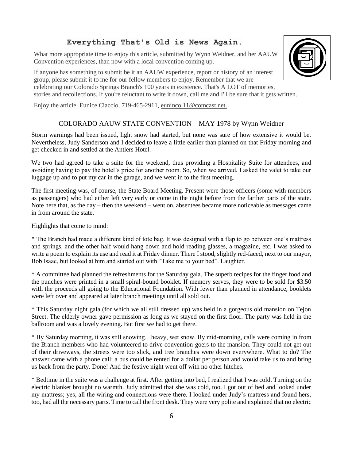#### **Everything That's Old is News Again.**

What more appropriate time to enjoy this article, submitted by Wynn Weidner, and her AAUW Convention experiences, than now with a local convention coming up.

If anyone has something to submit be it an AAUW experience, report or history of an interest group, please submit it to me for our fellow members to enjoy. Remember that we are celebrating our Colorado Springs Branch's 100 years in existence. That's A LOT of memories, stories and recollections. If you're reluctant to write it down, call me and I'll be sure that it gets written.

Enjoy the article, Eunice Ciaccio, 719-465-2911, euninco.11@comcast.net.

#### COLORADO AAUW STATE CONVENTION – MAY 1978 by Wynn Weidner

Storm warnings had been issued, light snow had started, but none was sure of how extensive it would be. Nevertheless, Judy Sanderson and I decided to leave a little earlier than planned on that Friday morning and get checked in and settled at the Antlers Hotel.

We two had agreed to take a suite for the weekend, thus providing a Hospitality Suite for attendees, and avoiding having to pay the hotel's price for another room. So, when we arrived, I asked the valet to take our luggage up and to put my car in the garage, and we went in to the first meeting.

The first meeting was, of course, the State Board Meeting. Present were those officers (some with members as passengers) who had either left very early or come in the night before from the farther parts of the state. Note here that, as the day – then the weekend – went on, absentees became more noticeable as messages came in from around the state.

Highlights that come to mind:

\* The Branch had made a different kind of tote bag. It was designed with a flap to go between one's mattress and springs, and the other half would hang down and hold reading glasses, a magazine, etc. I was asked to write a poem to explain its use and read it at Friday dinner. There I stood, slightly red-faced, next to our mayor, Bob Isaac, but looked at him and started out with "Take me to your bed". Laughter.

\* A committee had planned the refreshments for the Saturday gala. The superb recipes for the finger food and the punches were printed in a small spiral-bound booklet. If memory serves, they were to be sold for \$3.50 with the proceeds all going to the Educational Foundation. With fewer than planned in attendance, booklets were left over and appeared at later branch meetings until all sold out.

\* This Saturday night gala (for which we all still dressed up) was held in a gorgeous old mansion on Tejon Street. The elderly owner gave permission as long as we stayed on the first floor. The party was held in the ballroom and was a lovely evening. But first we had to get there.

\* By Saturday morning, it was still snowing…heavy, wet snow. By mid-morning, calls were coming in from the Branch members who had volunteered to drive convention-goers to the mansion. They could not get out of their driveways, the streets were too slick, and tree branches were down everywhere. What to do? The answer came with a phone call; a bus could be rented for a dollar per person and would take us to and bring us back from the party. Done! And the festive night went off with no other hitches.

\* Bedtime in the suite was a challenge at first. After getting into bed, I realized that I was cold. Turning on the electric blanket brought no warmth. Judy admitted that she was cold, too. I got out of bed and looked under my mattress; yes, all the wiring and connections were there. I looked under Judy's mattress and found hers, too, had all the necessary parts. Time to call the front desk. They were very polite and explained that no electric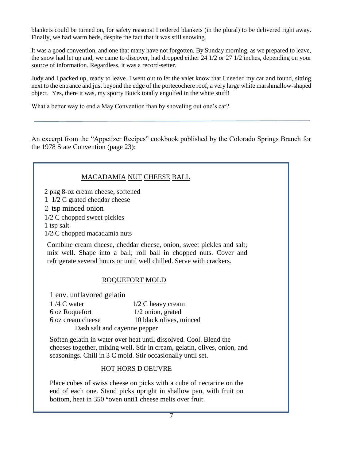blankets could be turned on, for safety reasons! I ordered blankets (in the plural) to be delivered right away. Finally, we had warm beds, despite the fact that it was still snowing.

It was a good convention, and one that many have not forgotten. By Sunday morning, as we prepared to leave, the snow had let up and, we came to discover, had dropped either 24 1/2 or 27 1/2 inches, depending on your source of information. Regardless, it was a record-setter.

Judy and I packed up, ready to leave. I went out to let the valet know that I needed my car and found, sitting next to the entrance and just beyond the edge of the portecochere roof, a very large white marshmallow-shaped object. Yes, there it was, my sporty Buick totally engulfed in the white stuff!

What a better way to end a May Convention than by shoveling out one's car?

An excerpt from the "Appetizer Recipes" cookbook published by the Colorado Springs Branch for the 1978 State Convention (page 23):

| MACADAMIA NUT CHEESE BALL                                                                                                                                                                                          |                                                                      |  |  |  |
|--------------------------------------------------------------------------------------------------------------------------------------------------------------------------------------------------------------------|----------------------------------------------------------------------|--|--|--|
| 2 pkg 8-oz cream cheese, softened                                                                                                                                                                                  |                                                                      |  |  |  |
| 1 1/2 C grated cheddar cheese                                                                                                                                                                                      |                                                                      |  |  |  |
| 2 tsp minced onion                                                                                                                                                                                                 |                                                                      |  |  |  |
| 1/2 C chopped sweet pickles                                                                                                                                                                                        |                                                                      |  |  |  |
| 1 tsp salt                                                                                                                                                                                                         |                                                                      |  |  |  |
| 1/2 C chopped macadamia nuts                                                                                                                                                                                       |                                                                      |  |  |  |
| Combine cream cheese, cheddar cheese, onion, sweet pickles and salt;<br>mix well. Shape into a ball; roll ball in chopped nuts. Cover and<br>refrigerate several hours or until well chilled. Serve with crackers. |                                                                      |  |  |  |
| <b>ROQUEFORT MOLD</b>                                                                                                                                                                                              |                                                                      |  |  |  |
| 1 env. unflavored gelatin                                                                                                                                                                                          |                                                                      |  |  |  |
| $1/4$ C water                                                                                                                                                                                                      | $1/2$ C heavy cream                                                  |  |  |  |
| 6 oz Roquefort                                                                                                                                                                                                     | 1/2 onion, grated                                                    |  |  |  |
| 6 oz cream cheese                                                                                                                                                                                                  | 10 black olives, minced                                              |  |  |  |
| Dash salt and cayenne pepper                                                                                                                                                                                       |                                                                      |  |  |  |
| Soften gelatin in water over heat until dissolved. Cool. Blend the<br>cheeses together, mixing well. Stir in cream, gelatin, olives, onion, and<br>seasonings. Chill in 3 C mold. Stir occasionally until set.     |                                                                      |  |  |  |
| <b>HOT HORS D'OEUVRE</b>                                                                                                                                                                                           |                                                                      |  |  |  |
|                                                                                                                                                                                                                    | Place cubes of swiss cheese on picks with a cube of nectarine on the |  |  |  |

Place cubes of swiss cheese on picks with a cube of nectarine on the end of each one. Stand picks upright in shallow pan, with fruit on bottom, heat in 350 °oven unti1 cheese melts over fruit.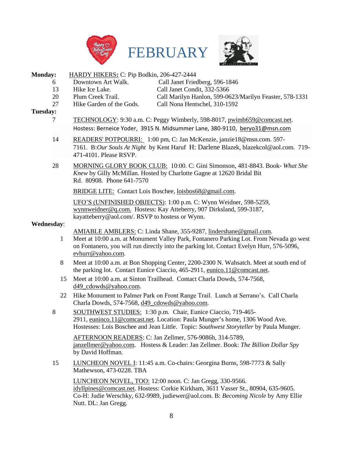





#### **Monday:** HARDY HIKERS**:** C: Pip Bodkin, 206-427-2444

- 6 Downtown Art Walk. Call Janet Friedberg, 596-1846 13 Hike Ice Lake. Call Janet Condit, 332-5366
- -
- 
- 20 Plum Creek Trail. Call Marilyn Hanlon, 599-0623/Marilyn Feaster, 578-1331 27 Hike Garden of the Gods. Call Nona Hentschel, 310-1592

#### **Tuesday:**

- 7 TECHNOLOGY: 9:30 a.m. C: Peggy Wimberly, 598-8017, [pwimb659@comcast.net.](mailto:pwimb659@comcast.net) Hostess: Berneice Yoder, 3915 N. Midsummer Lane, 380-9110, [beryo31@msn.com](javascript:window.top.ZmObjectManager.__doClickObject(document.getElementById(%22OBJ_PREFIX_DWT992_com_zimbra_email%22));)
- 14 READERS' POTPOURRI*:* 1:00 pm, C: Jan McKenzie, [janzie18@msn.com.](javascript:window.top.ZmObjectManager.__doClickObject(document.getElementById(%22OBJ_PREFIX_DWT1091_com_zimbra_email%22));) 597- 7161. B:*Our Souls At Night* by Kent Haruf H: Darlene Blazek, [blazekcol@aol.com.](javascript:window.top.ZmObjectManager.__doClickObject(document.getElementById(%22OBJ_PREFIX_DWT1092_com_zimbra_email%22));) 719- 471-4101. Please RSVP.
- 28 MORNING GLORY BOOK CLUB: 10:00. C: Gini Simonson, 481-8843. Book- *What She Knew* by Gilly McMillan. Hosted by Charlotte Gagne at 12620 Bridal Bit Rd. 80908. Phone 641-7570

BRIDGE LITE: Contact Lois Boschee, [loisbos68@gmail.com.](javascript:window.top.ZmObjectManager.__doClickObject(document.getElementById(%22OBJ_PREFIX_DWT820_com_zimbra_email%22));)

UFO'S (UNFINISHED OBJECTS): 1:00 p.m. C: Wynn Weidner, 598-5259, [wynnweidner@q.com.](mailto:wynnweidner@q.com) Hostess: Kay Atteberry, 907 Dirksland, 599-3187, kayatteberry@aol.com/. RSVP to hostess or Wynn.

#### **Wednesday**:

AMIABLE AMBLERS: C: Linda Shane, 355-9287, lindershane@gmail.com.

- 1 Meet at 10:00 a.m. at Monument Valley Park, Fontanero Parking Lot. From Nevada go west on Fontanero, you will run directly into the parking lot. Contact Evelyn Hurr, 576-5096, evhurr@yahoo.com.
- 8 Meet at 10:00 a.m. at Bon Shopping Center, 2200-2300 N. Wahsatch. Meet at south end of the parking lot. Contact Eunice Ciaccio, 465-2911, [eunico.11@comcast.net.](mailto:eunico.11@comcast.net)
- 15 Meet at 10:00 a.m. at Sinton Trailhead. Contact Charla Dowds, 574-7568, d49\_cdowds@yahoo.com.
- 22 Hike Monument to Palmer Park on Front Range Trail. Lunch at Serrano's. Call Charla Charla Dowds, 574-7568, d49\_cdowds@yahoo.com.
- 8 SOUTHWEST STUDIES: 1:30 p.m. Chair, Eunice Ciaccio, 719-4652911, [euninco.11@comcast.net.](javascript:window.top.ZmObjectManager.__doClickObject(document.getElementById(%22OBJ_PREFIX_DWT1068_com_zimbra_email%22));) Location: Paula Munger's home, 1306 Wood Ave. Hostesses: Lois Boschee and Jean Little. Topic: *Southwest Storyteller* by Paula Munger.

AFTERNOON READERS: C: Jan Zellmer, 576-9086h, 314-5789, [janzellmer@yahoo.com.](mailto:janzellmer@yahoo.com) Hostess & Leader: Jan Zellmer. Book: *The Billion Dollar Spy* by David Hoffman.

15 LUNCHEON NOVEL I: 11:45 a.m. Co-chairs: Georgina Burns, 598-7773 & Sally Mathewson, 473-0228. TBA

LUNCHEON NOVEL, TOO: 12:00 noon. C: Jan Gregg, 330-9566. [idyllpines@comcast.net.](mailto:idyllpines@comcast.net) Hostess: Corkie Kirkham, 3611 Vasser St., 80904, 635-9605. Co-H: Judie Werschky, 632-9989, judiewer@aol.com. B: *Becoming Nicole* by Amy Ellie Nutt. DL: Jan Gregg.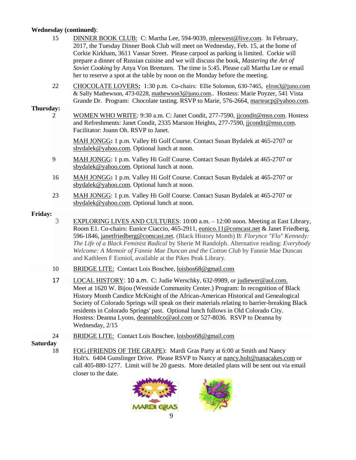#### **Wednesday (continued)**:

- 15 DINNER BOOK CLUB: C: Martha Lee, 594-9039, [mleewest@live.com](mailto:mleewest@live.com). In February, 2017, the Tuesday Dinner Book Club will meet on Wednesday, Feb. 15, at the home of Corkie Kirkham, 3611 Vassar Street. Please carpool as parking is limited. Corkie will prepare a dinner of Russian cuisine and we will discuss the book, *Mastering the Art of Soviet Cooking* by Anya Von Bremzen. The time is 5:45. Please call Martha Lee or email her to reserve a spot at the table by noon on the Monday before the meeting.
- 22 CHOCOLATE LOVERS**:** 1:30 p.m. Co-chairs: Ellie Solomon, 630-7465, [elron3@juno.com](javascript:window.top.ZmObjectManager.__doClickObject(document.getElementById(%22OBJ_PREFIX_DWT1061_com_zimbra_email%22));) & Sally Mathewson, 473-0228, [mathewson3@juno.com.](javascript:window.top.ZmObjectManager.__doClickObject(document.getElementById(%22OBJ_PREFIX_DWT1062_com_zimbra_email%22));). Hostess: Marie Poyzer, 541 Vista Grande Dr. Program: Chocolate tasting. RSVP to Marie, 576-2664, [marieacp@yahoo.com.](javascript:window.top.ZmObjectManager.__doClickObject(document.getElementById(%22OBJ_PREFIX_DWT1068_com_zimbra_email%22));)

#### **Thursday:**

2 WOMEN WHO WRITE: 9:30 a.m. C: Janet Condit, 277-7590, [jjcondit@msn.com.](javascript:window.top.ZmObjectManager.__doClickObject(document.getElementById(%22OBJ_PREFIX_DWT1065_com_zimbra_email%22));) Hostess and Refreshments: Janet Condit, 2335 Marston Heights, 277-7590, [jjcondit@msn.com.](javascript:window.top.ZmObjectManager.__doClickObject(document.getElementById(%22OBJ_PREFIX_DWT1065_com_zimbra_email%22));) Facilitator: Joann Oh. RSVP to Janet.

MAH JONGG**:** 1 p.m. Valley Hi Golf Course. Contact Susan Bydalek at 465-2707 or [sbydalek@yahoo.com.](mailto:sbydalek@yahoo.com) Optional lunch at noon.

- 9 MAH JONGG: 1 p.m. Valley Hi Golf Course. Contact Susan Bydalek at 465-2707 or [sbydalek@yahoo.com.](mailto:sbydalek@yahoo.com) Optional lunch at noon.
- 16 MAH JONGG**:** 1 p.m. Valley Hi Golf Course. Contact Susan Bydalek at 465-2707 or [sbydalek@yahoo.com.](mailto:sbydalek@yahoo.com) Optional lunch at noon.
- 23 MAH JONGG: 1 p.m. Valley Hi Golf Course. Contact Susan Bydalek at 465-2707 or [sbydalek@yahoo.com.](mailto:sbydalek@yahoo.com) Optional lunch at noon.

#### **Friday:**

- 3 EXPLORING LIVES AND CULTURES: 10:00 a.m. 12:00 noon. Meeting at East Library, Room E1. Co-chairs: Eunice Ciaccio, 465-2911, [eunico.11@comcast.net](mailto:eunico.11@comcast.net) & Janet Friedberg, 596-1846, [janetfriedberg@comcast.net.](javascript:window.top.ZmObjectManager.__doClickObject(document.getElementById(%22OBJ_PREFIX_DWT1064_com_zimbra_email%22));) (Black History Month) B: *Florynce "Flo" Kennedy: The Life of a Black Feminist Radical* by Sherie M Randolph. Alternative reading: *Everybody Welcome: A Memoir of Fannie Mae Duncan and the Cotton Club* by Fannie Mae Duncan and Kathleen F Esmiol, available at the Pikes Peak Library.
- 10 BRIDGE LITE: Contact Lois Boschee, [loisbos68@gmail.com](javascript:window.top.ZmObjectManager.__doClickObject(document.getElementById(%22OBJ_PREFIX_DWT820_com_zimbra_email%22));)
- 17 LOCAL HISTORY: 10 a.m. C: Judie Werschky, 632-9989, or [judiewer@aol.com.](javascript:window.top.ZmObjectManager.__doClickObject(document.getElementById(%22OBJ_PREFIX_DWT1807_com_zimbra_email%22));) Meet at 1620 W. Bijou (Westside Community Center.) Program: In recognition of Black History Month Candice McKnight of the African-American Historical and Genealogical Society of Colorado Springs will speak on their materials relating to barrier-breaking Black residents in Colorado Springs' past. Optional lunch follows in Old Colorado City. Hostess: Deanna Lyons, [deannablco@aol.com](http://deannablco@aol.com/) or 527-8036. RSVP to Deanna by Wednesday, 2/15
- 24 BRIDGE LITE: Contact Lois Boschee, [loisbos68@gmail.com](javascript:window.top.ZmObjectManager.__doClickObject(document.getElementById(%22OBJ_PREFIX_DWT820_com_zimbra_email%22));)

#### **Saturday**

18 FOG (FRIENDS OF THE GRAPE): Mardi Gras Party at 6:00 at Smith and Nancy Holt's. 6404 Gunslinger Drive. Please RSVP to Nancy at [nancy.holt@nanacakes.com](javascript:window.top.ZmObjectManager.__doClickObject(document.getElementById(%22OBJ_PREFIX_DWT1138_com_zimbra_email%22));) or call 405-880-1277. Limit will be 20 guests. More detailed plans will be sent out via email closer to the date.

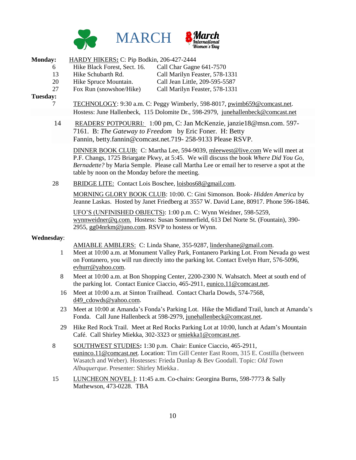



| <b>Monday:</b>    |                                                                                                                                                                                                                                      | HARDY HIKERS: C: Pip Bodkin, 206-427-2444                                                                                                                                                                                                                                                                             |                                                                                                                                                       |  |
|-------------------|--------------------------------------------------------------------------------------------------------------------------------------------------------------------------------------------------------------------------------------|-----------------------------------------------------------------------------------------------------------------------------------------------------------------------------------------------------------------------------------------------------------------------------------------------------------------------|-------------------------------------------------------------------------------------------------------------------------------------------------------|--|
|                   | 6                                                                                                                                                                                                                                    | Hike Black Forest, Sect. 16.                                                                                                                                                                                                                                                                                          | Call Char Gagne 641-7570                                                                                                                              |  |
|                   | 13                                                                                                                                                                                                                                   | Hike Schubarth Rd.                                                                                                                                                                                                                                                                                                    | Call Marilyn Feaster, 578-1331                                                                                                                        |  |
|                   | 20                                                                                                                                                                                                                                   | Hike Spruce Mountain.                                                                                                                                                                                                                                                                                                 | Call Jean Little, 209-595-5587                                                                                                                        |  |
|                   | 27                                                                                                                                                                                                                                   | Fox Run (snowshoe/Hike)                                                                                                                                                                                                                                                                                               | Call Marilyn Feaster, 578-1331                                                                                                                        |  |
| Tuesday:          |                                                                                                                                                                                                                                      |                                                                                                                                                                                                                                                                                                                       |                                                                                                                                                       |  |
|                   | 7                                                                                                                                                                                                                                    | TECHNOLOGY: 9:30 a.m. C: Peggy Wimberly, 598-8017, pwimb659@comcast.net.                                                                                                                                                                                                                                              |                                                                                                                                                       |  |
|                   | Hostess: June Hallenbeck, 115 Dolomite Dr., 598-2979, junehallenbeck@comcast.net                                                                                                                                                     |                                                                                                                                                                                                                                                                                                                       |                                                                                                                                                       |  |
|                   | 14                                                                                                                                                                                                                                   | READERS' POTPOURRI: 1:00 pm, C: Jan McKenzie, janzie18@msn.com. 597-<br>7161. B: The Gateway to Freedom by Eric Foner. H: Betty<br>Fannin, betty.fannin@comcast.net.719-258-9133 Please RSVP.                                                                                                                         |                                                                                                                                                       |  |
|                   |                                                                                                                                                                                                                                      | DINNER BOOK CLUB: C: Martha Lee, 594-9039, mleewest@live.com We will meet at<br>P.F. Changs, 1725 Briargate Pkwy, at 5:45. We will discuss the book Where Did You Go,<br>Bernadette? by Maria Semple. Please call Martha Lee or email her to reserve a spot at the<br>table by noon on the Monday before the meeting. |                                                                                                                                                       |  |
|                   | 28<br>BRIDGE LITE: Contact Lois Boschee, loisbos68@gmail.com.<br>MORNING GLORY BOOK CLUB: 10:00. C: Gini Simonson. Book- Hidden America by<br>Jeanne Laskas. Hosted by Janet Friedberg at 3557 W. David Lane, 80917. Phone 596-1846. |                                                                                                                                                                                                                                                                                                                       |                                                                                                                                                       |  |
|                   |                                                                                                                                                                                                                                      |                                                                                                                                                                                                                                                                                                                       |                                                                                                                                                       |  |
|                   |                                                                                                                                                                                                                                      | 2955, gg04nrkm@juno.com. RSVP to hostess or Wynn.                                                                                                                                                                                                                                                                     | UFO'S (UNFINISHED OBJECTS): 1:00 p.m. C: Wynn Weidner, 598-5259,<br>wynnweidner@q.com. Hostess: Susan Sommerfield, 613 Del Norte St. (Fountain), 390- |  |
| <b>Wednesday:</b> |                                                                                                                                                                                                                                      |                                                                                                                                                                                                                                                                                                                       |                                                                                                                                                       |  |
|                   |                                                                                                                                                                                                                                      |                                                                                                                                                                                                                                                                                                                       | AMIABLE AMBLERS: C: Linda Shane, 355-9287, lindershane@gmail.com.                                                                                     |  |
|                   |                                                                                                                                                                                                                                      |                                                                                                                                                                                                                                                                                                                       | $\mathbf{u}$                                                                                                                                          |  |

- 1 Meet at 10:00 a.m. at Monument Valley Park, Fontanero Parking Lot. From Nevada go west on Fontanero, you will run directly into the parking lot. Contact Evelyn Hurr, 576-5096, evhurr@yahoo.com.
- 8 Meet at 10:00 a.m. at Bon Shopping Center, 2200-2300 N. Wahsatch. Meet at south end of the parking lot. Contact Eunice Ciaccio, 465-2911, [eunico.11@comcast.net.](mailto:eunico.11@comcast.net)
- 16 Meet at 10:00 a.m. at Sinton Trailhead. Contact Charla Dowds, 574-7568, d49\_cdowds@yahoo.com.
- 23 Meet at 10:00 at Amanda's Fonda's Parking Lot. Hike the Midland Trail, lunch at Amanda's Fonda. Call June Hallenbeck at 598-2979, [junehallenbeck@comcast.net.](mailto:junehallenbeck@comcast.net)
- 29 Hike Red Rock Trail. Meet at Red Rocks Parking Lot at 10:00, lunch at Adam's Mountain Café. Call Shirley Miekka, 302-3323 or [smiekka1@comcast.net.](mailto:smiekka1@comcast.net)
- 8 SOUTHWEST STUDIES**:** 1:30 p.m. Chair: Eunice Ciaccio, 465-2911, [euninco.11@comcast.net](javascript:window.top.ZmObjectManager.__doClickObject(document.getElementById(%22OBJ_PREFIX_DWT936_com_zimbra_email%22));). Location: Tim Gill Center East Room, 315 E. Costilla (between Wasatch and Weber). Hostesses: Frieda Dunlap & Bev Goodall. Topic: *Old Town Albuquerque*. Presenter: Shirley Miekka.
- 15 LUNCHEON NOVEL I: 11:45 a.m. Co-chairs: Georgina Burns, 598-7773 & Sally Mathewson, 473-0228. TBA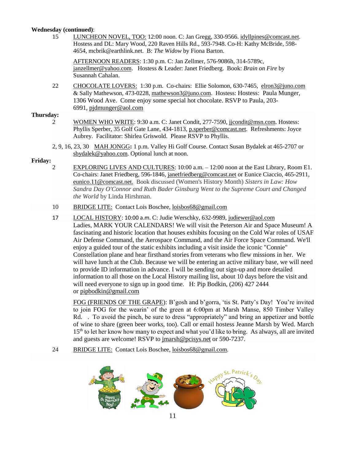#### **Wednesday (continued)**:

15 LUNCHEON NOVEL, TOO: 12:00 noon. C: Jan Gregg, 330-9566. [idyllpines@comcast.net.](mailto:idyllpines@comcast.net) Hostess and DL: Mary Wood, 220 Raven Hills Rd., 593-7948. Co-H: Kathy McBride, 598- 4654, mcbrik@earthlink.net. B: *The Widow* by Fiona Barton.

AFTERNOON READERS: 1:30 p.m. C: Jan Zellmer, 576-9086h, 314-5789c, [janzellmer@yahoo.com.](mailto:janzellmer@yahoo.com) Hostess & Leader: Janet Friedberg. Book: *Brain on Fire* by Susannah Cahalan.

22 CHOCOLATE LOVERS: 1:30 p.m. Co-chairs: Ellie Solomon, 630-7465, [elron3@juno.com](javascript:window.top.ZmObjectManager.__doClickObject(document.getElementById(%22OBJ_PREFIX_DWT1061_com_zimbra_email%22));) & Sally Mathewson, 473-0228, [mathewson3@juno.com.](javascript:window.top.ZmObjectManager.__doClickObject(document.getElementById(%22OBJ_PREFIX_DWT1062_com_zimbra_email%22));) Hostess: Hostess: Paula Munger, 1306 Wood Ave. Come enjoy some special hot chocolate. RSVP to Paula, 203- 6991, [pjdmunger@aol.com](javascript:window.top.ZmObjectManager.__doClickObject(document.getElementById(%22OBJ_PREFIX_DWT1069_com_zimbra_email%22));)

#### **Thursday:**

- 2 WOMEN WHO WRITE: 9:30 a.m. C: Janet Condit, 277-7590, [jjcondit@msn.com.](javascript:window.top.ZmObjectManager.__doClickObject(document.getElementById(%22OBJ_PREFIX_DWT1065_com_zimbra_email%22));) Hostess: Phyllis Sperber, 35 Golf Gate Lane, 434-1813, [p.sperber@comcast.net.](mailto:p.sperber@comcast.net) Refreshments: Joyce Aubrey. Facilitator: Shirlea Griswold. Please RSVP to Phyllis.
- 2, 9, 16, 23, 30 MAH JONGG**:** 1 p.m. Valley Hi Golf Course. Contact Susan Bydalek at 465-2707 or [sbydalek@yahoo.com.](mailto:sbydalek@yahoo.com) Optional lunch at noon.

#### **Friday:**

- 2 EXPLORING LIVES AND CULTURES: 10:00 a.m. 12:00 noon at the East Library, Room E1. Co-chairs: Janet Friedberg, 596-1846, [janetfriedberg@comcast.net](javascript:window.top.ZmObjectManager.__doClickObject(document.getElementById(%22OBJ_PREFIX_DWT1064_com_zimbra_email%22));) or Eunice Ciaccio, 465-2911, [eunico.11@comcast.net.](mailto:eunico.11@comcast.net) Book discussed (Women's History Month) *Sisters in Law: How Sandra Day O'Connor and Ruth Bader Ginsburg Went to the Supreme Court and Changed the World* by Linda Hirshman.
- 10 BRIDGE LITE: Contact Lois Boschee, [loisbos68@gmail.com](javascript:window.top.ZmObjectManager.__doClickObject(document.getElementById(%22OBJ_PREFIX_DWT820_com_zimbra_email%22));)
- 17 LOCAL HISTORY: 10:00 a.m. C: Judie Werschky, 632-9989[, judiewer@aol.com](mailto:judiewer@aol.com) Ladies, MARK YOUR CALENDARS! We will visit the Peterson Air and Space Museum! A fascinating and historic location that houses exhibits focusing on the Cold War roles of USAF Air Defense Command, the Aerospace Command, and the Air Force Space Command. We'll enjoy a guided tour of the static exhibits including a visit inside the iconic "Connie" Constellation plane and hear firsthand stories from veterans who flew missions in her. We will have lunch at the Club. Because we will be entering an active military base, we will need to provide ID information in advance. I will be sending out sign-up and more detailed information to all those on the Local History mailing list, about 10 days before the visit and will need everyone to sign up in good time. H: Pip Bodkin, (206) 427 2444 or [pipbodkin@gmail.com](javascript:window.top.ZmObjectManager.__doClickObject(document.getElementById(%22OBJ_PREFIX_DWT1018_com_zimbra_email%22));)

FOG (FRIENDS OF THE GRAPE): B'gosh and b'gorra, 'tis St. Patty's Day! You're invited to join FOG for the wearin' of the green at 6:00pm at Marsh Manse, 850 Timber Valley Rd. . To avoid the pinch, be sure to dress "appropriately" and bring an appetizer and bottle of wine to share (green beer works, too). Call or email hostess Jeanne Marsh by Wed. March 15th to let her know how many to expect and what you'd like to bring. As always, all are invited and guests are welcome! RSVP to [jmarsh@pcisys.net](javascript:window.top.ZmObjectManager.__doClickObject(document.getElementById(%22OBJ_PREFIX_DWT1506_com_zimbra_email%22));) or 590-7237.

24 BRIDGE LITE: Contact Lois Boschee, [loisbos68@gmail.com.](javascript:window.top.ZmObjectManager.__doClickObject(document.getElementById(%22OBJ_PREFIX_DWT820_com_zimbra_email%22));)